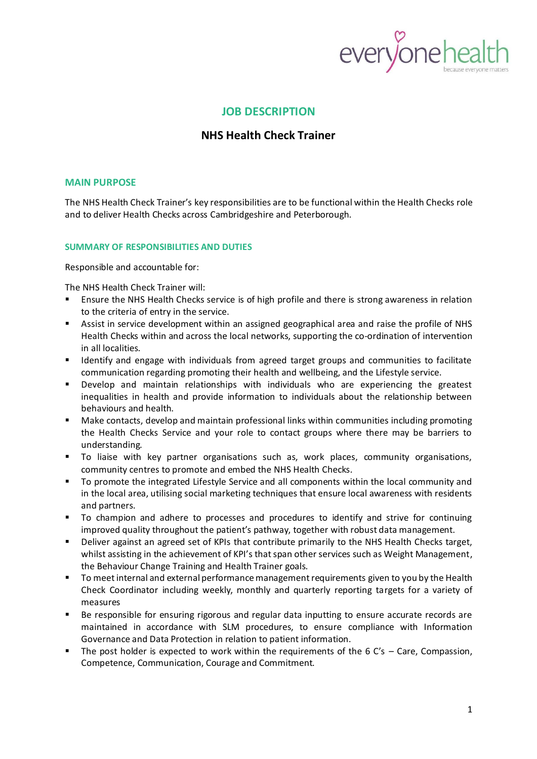

## **JOB DESCRIPTION**

# **NHS Health Check Trainer**

#### **MAIN PURPOSE**

The NHS Health Check Trainer's key responsibilities are to be functional within the Health Checks role and to deliver Health Checks across Cambridgeshire and Peterborough.

#### **SUMMARY OF RESPONSIBILITIES AND DUTIES**

Responsible and accountable for:

The NHS Health Check Trainer will:

- Ensure the NHS Health Checks service is of high profile and there is strong awareness in relation to the criteria of entry in the service.
- Assist in service development within an assigned geographical area and raise the profile of NHS Health Checks within and across the local networks, supporting the co-ordination of intervention in all localities.
- Identify and engage with individuals from agreed target groups and communities to facilitate communication regarding promoting their health and wellbeing, and the Lifestyle service.
- Develop and maintain relationships with individuals who are experiencing the greatest inequalities in health and provide information to individuals about the relationship between behaviours and health.
- Make contacts, develop and maintain professional links within communities including promoting the Health Checks Service and your role to contact groups where there may be barriers to understanding.
- To liaise with key partner organisations such as, work places, community organisations, community centres to promote and embed the NHS Health Checks.
- To promote the integrated Lifestyle Service and all components within the local community and in the local area, utilising social marketing techniques that ensure local awareness with residents and partners.
- To champion and adhere to processes and procedures to identify and strive for continuing improved quality throughout the patient's pathway, together with robust data management.
- Deliver against an agreed set of KPIs that contribute primarily to the NHS Health Checks target, whilst assisting in the achievement of KPI's that span other services such as Weight Management, the Behaviour Change Training and Health Trainer goals.
- To meet internal and external performance management requirements given to you by the Health Check Coordinator including weekly, monthly and quarterly reporting targets for a variety of measures
- Be responsible for ensuring rigorous and regular data inputting to ensure accurate records are maintained in accordance with SLM procedures, to ensure compliance with Information Governance and Data Protection in relation to patient information.
- **•** The post holder is expected to work within the requirements of the 6  $C's Care$ , Compassion, Competence, Communication, Courage and Commitment.